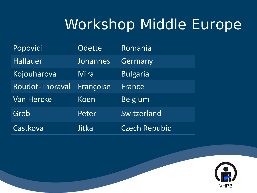# Workshop Middle Europe

| Popovici          | <b>Odette</b> | Romania         |
|-------------------|---------------|-----------------|
| <b>Hallauer</b>   | Johannes      | Germany         |
| Kojouharova       | Mira          | <b>Bulgaria</b> |
| Roudot-Thoraval   | Françoise     | France          |
| <b>Van Hercke</b> | Koen          | <b>Belgium</b>  |
| Grob              | Peter         | Switzerland     |
| Castkova          | Jitka         | Czech Repubic   |

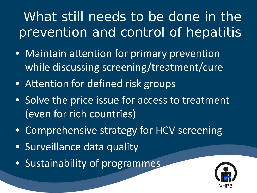- Maintain attention for primary prevention while discussing screening/treatment/cure
- Attention for defined risk groups
- Solve the price issue for access to treatment (even for rich countries)
- Comprehensive strategy for HCV screening
- Surveillance data quality
- Sustainability of programmes

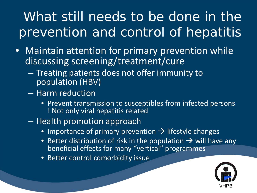- Maintain attention for primary prevention while discussing screening/treatment/cure
	- Treating patients does not offer immunity to population (HBV)
	- Harm reduction
		- Prevent transmission to susceptibles from infected persons ! Not only viral hepatitis related
	- Health promotion approach
		- $\bullet$  Importance of primary prevention  $\rightarrow$  lifestyle changes
		- Better distribution of risk in the population  $\rightarrow$  will have any beneficial effects for many "vertical" programmes
		- Better control comorbidity issue

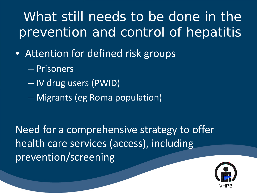- Attention for defined risk groups
	- Prisoners
	- IV drug users (PWID)
	- Migrants (eg Roma population)

Need for a comprehensive strategy to offer health care services (access), including prevention/screening

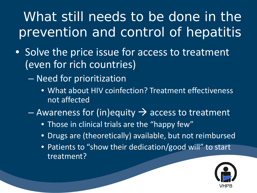- Solve the price issue for access to treatment (even for rich countries)
	- Need for prioritization
		- What about HIV coinfection? Treatment effectiveness not affected
	- Awareness for (in)equity  $\rightarrow$  access to treatment
		- Those in clinical trials are the "happy few"
		- Drugs are (theoretically) available, but not reimbursed
		- Patients to "show their dedication/good will" to start treatment?

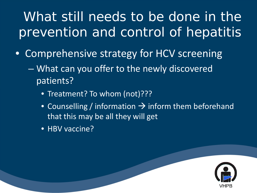- Comprehensive strategy for HCV screening
	- What can you offer to the newly discovered patients?
		- Treatment? To whom (not)???
		- Counselling / information  $\rightarrow$  inform them beforehand that this may be all they will get
		- HBV vaccine?

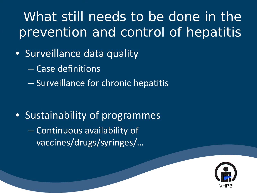#### • Surveillance data quality

- Case definitions
- Surveillance for chronic hepatitis

• Sustainability of programmes – Continuous availability of vaccines/drugs/syringes/…

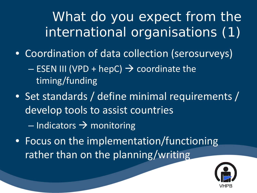What do you expect from the international organisations (1)

- Coordination of data collection (serosurveys)  $-$  ESEN III (VPD + hepC)  $\rightarrow$  coordinate the timing/funding
- Set standards / define minimal requirements / develop tools to assist countries  $-$  Indicators  $\rightarrow$  monitoring
- Focus on the implementation/functioning rather than on the planning/writing